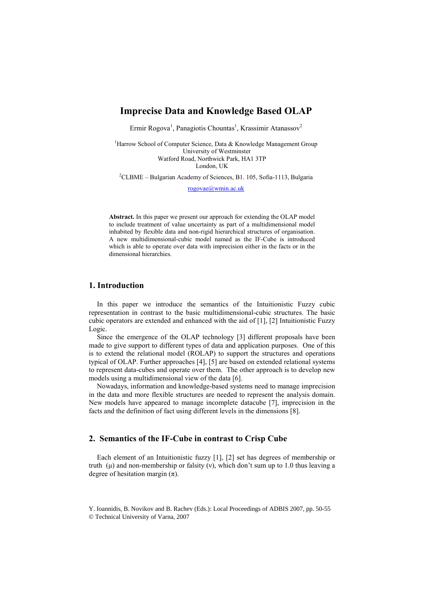# Imprecise Data and Knowledge Based OLAP

Ermir Rogova<sup>1</sup>, Panagiotis Chountas<sup>1</sup>, Krassimir Atanassov<sup>2</sup>

<sup>1</sup>Harrow School of Computer Science, Data & Knowledge Management Group University of Westminster Watford Road, Northwick Park, HA1 3TP London, UK

<sup>2</sup>CLBME – Bulgarian Academy of Sciences, B1. 105, Sofia-1113, Bulgaria

rogovae@wmin.ac.uk

Abstract. In this paper we present our approach for extending the OLAP model to include treatment of value uncertainty as part of a multidimensional model inhabited by flexible data and non-rigid hierarchical structures of organisation. A new multidimensional-cubic model named as the IF-Cube is introduced which is able to operate over data with imprecision either in the facts or in the dimensional hierarchies.

## 1. Introduction

In this paper we introduce the semantics of the Intuitionistic Fuzzy cubic representation in contrast to the basic multidimensional-cubic structures. The basic cubic operators are extended and enhanced with the aid of [1], [2] Intuitionistic Fuzzy Logic.

Since the emergence of the OLAP technology [3] different proposals have been made to give support to different types of data and application purposes. One of this is to extend the relational model (ROLAP) to support the structures and operations typical of OLAP. Further approaches [4], [5] are based on extended relational systems to represent data-cubes and operate over them. The other approach is to develop new models using a multidimensional view of the data [6].

Nowadays, information and knowledge-based systems need to manage imprecision in the data and more flexible structures are needed to represent the analysis domain. New models have appeared to manage incomplete datacube [7], imprecision in the facts and the definition of fact using different levels in the dimensions [8].

### 2. Semantics of the IF-Cube in contrast to Crisp Cube

Each element of an Intuitionistic fuzzy [1], [2] set has degrees of membership or truth ( $\mu$ ) and non-membership or falsity (v), which don't sum up to 1.0 thus leaving a degree of hesitation margin  $(\pi)$ .

Y. Ioannidis, B. Novikov and B. Rachev (Eds.): Local Proceedings of ADBIS 2007, pp. 50-55 © Technical University of Varna, 2007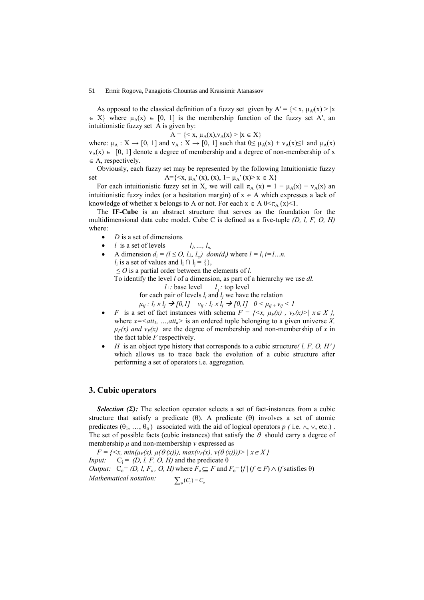### 51 Ermir Rogova, Panagiotis Chountas and Krassimir Atanassov

As opposed to the classical definition of a fuzzy set given by  $A' = \{ \langle x, \mu_A(x) \rangle | x \rangle \}$  $\in X$  where  $\mu_A(x) \in [0, 1]$  is the membership function of the fuzzy set A', an intuitionistic fuzzy set A is given by:

$$
A = \{ < x, \, \mu_A(x), \, v_A(x) > | x \in X \}
$$

where:  $\mu_A : X \to [0, 1]$  and  $v_A : X \to [0, 1]$  such that  $0 \le \mu_A(x) + v_A(x) \le 1$  and  $\mu_A(x)$  $v_A(x) \in [0, 1]$  denote a degree of membership and a degree of non-membership of x  $\in$  A, respectively.

Obviously, each fuzzy set may be represented by the following Intuitionistic fuzzy set  $A=\{\langle x, \mu_{A}'(x), (x), 1-\mu_{A}'(x)\rangle | x \in X\}$ 

For each intuitionistic fuzzy set in X, we will call  $\pi_A(x) = 1 - \mu_A(x) - v_A(x)$  and intuitionistic fuzzy index (or a hesitation margin) of  $x \in A$  which expresses a lack of knowledge of whether x belongs to A or not. For each  $x \in A$   $0 \leq \pi_A$   $(x) \leq 1$ .

The IF-Cube is an abstract structure that serves as the foundation for the multidimensional data cube model. Cube C is defined as a five-tuple  $(D, l, F, O, H)$ where:

- $D$  is a set of dimensions
- l is a set of levels  $l_1, ..., l_n$
- A dimension  $d_i = (l \leq 0, l_\perp, l_\perp)$  dom( $d_i$ ) where  $l = l_i$  i=1...n.  $l_i$  is a set of values and  $l_i \cap l_j = \{\},\$  $\leq$  0 is a partial order between the elements of *l*. To identify the level  $l$  of a dimension, as part of a hierarchy we use  $dl$ .

$$
l_{\perp}
$$
: base level  $l_{\perp}$ : top level

for each pair of levels  $l_i$  and  $l_j$  we have the relation

 $\mu_{ij}$ :  $l_i \times l_j \rightarrow [0,1]$   $v_{ij}$ :  $l_i \times l_j \rightarrow [0,1]$   $0 < \mu_{ij}$ ,  $v_{ij} < 1$ 

- F is a set of fact instances with schema  $F = \{ \langle x, \mu_F(x) , v_F(x) \rangle \mid x \in X \}$ , where  $x = \langle att_1, ..., att_n \rangle$  is an ordered tuple belonging to a given universe X,  $\mu_F(x)$  and  $v_F(x)$  are the degree of membership and non-membership of x in the fact table  $F$  respectively.
- H is an object type history that corresponds to a cubic structure  $(l, F, O, H')$ which allows us to trace back the evolution of a cubic structure after performing a set of operators i.e. aggregation.

### 3. Cubic operators

**Selection (Σ):** The selection operator selects a set of fact-instances from a cubic structure that satisfy a predicate  $(\theta)$ . A predicate  $(\theta)$  involves a set of atomic predicates  $(\theta_1, ..., \theta_n)$  associated with the aid of logical operators p (i.e.  $\wedge$ ,  $\vee$ , etc.). The set of possible facts (cubic instances) that satisfy the  $\theta$  should carry a degree of membership  $\mu$  and non-membership  $\nu$  expressed as

 $F = \{ \langle x, min(\mu_F(x), \mu(\theta(x))), max(\nu_F(x), \nu(\theta(x)))) \rangle \mid x \in X \}$ Input:  $C_i = (D, l, F, O, H)$  and the predicate  $\theta$ *Output:*  $C_0 = (D, l, F_o, O, H)$  where  $F_0 \subseteq F$  and  $F_0 = \{f | (f \in F) \land (f \text{ satisfies } \theta)\}$ Mathematical notation:  $\sum_a(C_i) = C_a$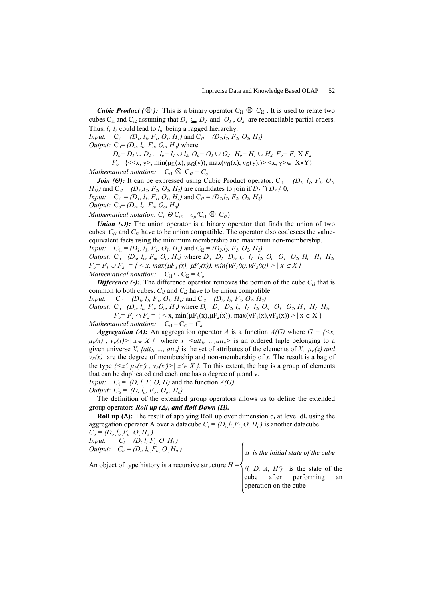**Cubic Product ( ⊗ ):** This is a binary operator  $C_{i1} \otimes C_{i2}$ . It is used to relate two cubes C<sub>i1</sub> and C<sub>i2</sub> assuming that  $D_1 \subseteq D_2$  and  $O_1$ ,  $O_2$  are reconcilable partial orders. Thus,  $l_1$ ,  $l_2$  could lead to  $l_0$  being a ragged hierarchy.

*Input:*  $C_{i1} = (D_1, l_1, F_1, O_1, H_1)$  and  $C_{i2} = (D_2, l_2, F_2, O_2, H_2)$ 

*Output:*  $C_0 = (D_o, l_o, F_o, O_o, H_o)$  where

 $D_0 = D_1 \cup D_2$ ,  $l_0 = l_1 \cup l_2$ ,  $O_0 = O_1 \cup O_2$   $H_0 = H_1 \cup H_2$ ,  $F_0 = F_1 X F_2$  $F_o = \{ \langle x, y \rangle, \min(\mu_{f1}(x), \mu_{f2}(y)), \max(v_{f1}(x), v_{f2}(y)) \rangle | x, y \rangle \in X \times Y \}$ 

Mathematical notation:  $C_{i1} \otimes C_{i2} = C_o$ 

**Join (Θ):** It can be expressed using Cubic Product operator.  $C_{i1} = (D_i, l_i, F_i, O_i)$  $H_1$ )) and C<sub>i2</sub> = (D<sub>2</sub>, l<sub>2</sub>, F<sub>2</sub>, O<sub>2</sub>, H<sub>2</sub>) are candidates to join if D<sub>1</sub>  $\cap$  D<sub>2</sub>  $\neq$  0, *Input:*  $C_{i1} = (D_1, l_1, F_1, O_1, H_1)$  and  $C_{i2} = (D_2, l_2, F_2, O_2, H_2)$ Output:  $C_0 = (D_o, l_o, F_o, O_o, H_o)$ 

Mathematical notation:  $C_{i1} \Theta C_{i2} = \sigma_p(C_{i1} \otimes C_{i2})$ 

Union  $(∪)$ : The union operator is a binary operator that finds the union of two cubes.  $C_{i1}$  and  $C_{i2}$  have to be union compatible. The operator also coalesces the valueequivalent facts using the minimum membership and maximum non-membership.

*Input:*  $C_{i1} = (D_1, l_1, F_1, O_1, H_1)$  and  $C_{i2} = (D_2, l_2, F_2, O_2, H_2)$ 

*Output:*  $C_0 = (D_o, l_o, F_o, O_o, H_o)$  where  $D_o = D_1 = D_2, l_o = l_1 = l_2, O_o = O_1 = O_2, H_o = H_1 = H_2$ ,  $F_o = F_1 \cup F_2 = \{ \langle x, \max(\mu F_1(x), \mu F_2(x)) \rangle, \min(\nu F_1(x), \nu F_2(x)) \rangle \mid x \in X \}$ Mathematical notation:  $C_{i1} \cup C_{i2} = C_o$ 

**Difference (-):** The difference operator removes the portion of the cube  $C_{il}$  that is common to both cubes.  $C_{i1}$  and  $C_{i2}$  have to be union compatible

*Input:*  $C_{i1} = (D_i, l_i, F_i, O_i, H_i)$  and  $C_{i2} = (D_2, l_2, F_2, O_2, H_2)$ 

Output:  $C_0 = (D_o, l_o, F_o, O_o, H_o)$  where  $D_0 = D_1 = D_2, l_o = l_1 = l_2, O_o = O_1 = O_2, H_o = H_1 = H_2$ ,  $F_o = F_1 \cap F_2 = \{ \langle x, \min(\mu F_1(x), \mu F_2(x)), \max(\nu F_1(x), \nu F_2(x)) \rangle \mid x \in X \}$ *Mathematical notation:*  $C_{i1} - C_{i2} = C_o$ 

**Aggregation (A):** An aggregation operator A is a function  $A(G)$  where  $G = \{ \leq x, \leq x, \leq x, \leq y, \leq y, \leq z \}$  $\mu_F(x)$ ,  $v_F(x) > |x \in X$  where  $x = \langle att_1, ..., att_n \rangle$  is an ordered tuple belonging to a

given universe X,  $\{att_1, ..., att_n\}$  is the set of attributes of the elements of X,  $\mu_F(x)$  and  $v_F(x)$  are the degree of membership and non-membership of x. The result is a bag of the type  $\{\langle x', u_F(x) \rangle, v_F(x')\}$   $x' \in X$ . To this extent, the bag is a group of elements that can be duplicated and each one has a degree of  $\mu$  and  $\nu$ .

*Input:*  $C_i = (D, l, F, O, H)$  and the function  $A(G)$ 

Output:  $C_0 = (D, l_o, F_o, O_o, H_o)$ 

The definition of the extended group operators allows us to define the extended group operators Roll up  $(\Delta)$ , and Roll Down  $(\Omega)$ .

**Roll up (** $\Delta$ **):** The result of applying Roll up over dimension  $d_i$  at level  $dl_r$  using the aggregation operator A over a datacube  $C_i = (D_i, l_i, F_i, O, H_i)$  is another datacube

 $C_o = (D_o, l_o, F_o, O, H_o)$ . *Input:*  $C_i = (D_i, l_i, F_i, O, H_i)$ Output:  $C_o = (D_o, l_o, F_o, O, H_o)$ 

ω is the initial state of the cube

An object of type history is a recursive structure  $H = \mathbf{A}$ 

 $(l, D, A, H')$  is the state of the cube after performing an operation on the cube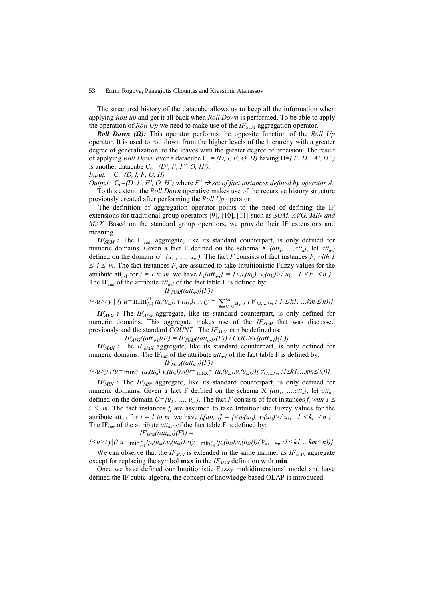#### 53 Ermir Rogova, Panagiotis Chountas and Krassimir Atanassov

The structured history of the datacube allows us to keep all the information when applying Roll up and get it all back when Roll Down is performed. To be able to apply the operation of Roll Up we need to make use of the  $IF_{SIM}$  aggregation operator.

**Roll Down (Ω):** This operator performs the opposite function of the Roll Up operator. It is used to roll down from the higher levels of the hierarchy with a greater degree of generalization, to the leaves with the greater degree of precision. The result of applying *Roll Down* over a datacube  $C_i = (D, l, F, O, H)$  having H=(*l', D', A', H')* is another datacube  $C_0 = (D', l', F', O, H')$ .

Input:  $C_i = (D, l, F, O, H)$ 

*Output:*  $C_0 = (D', l', F', O, H')$  where  $F' \rightarrow$  set of fact instances defined by operator A. To this extent, the Roll Down operative makes use of the recursive history structure previously created after performing the Roll Up operator.

The definition of aggregation operator points to the need of defining the IF extensions for traditional group operators [9], [10], [11] such as  $SUM$ ,  $AVG$ ,  $MIN$  and MAX. Based on the standard group operators, we provide their IF extensions and meaning.

 $IF_{SUM}$ : The IF<sub>sum</sub> aggregate, like its standard counterpart, is only defined for numeric domains. Given a fact F defined on the schema X (att<sub>1</sub>, ..., att<sub>n</sub>), let att<sub>n-1</sub> defined on the domain  $U = \{u_1, ..., u_n\}$ . The fact F consists of fact instances  $F_i$  with 1  $\leq i \leq m$ . The fact instances  $F_i$  are assumed to take Intuitionistic Fuzzy values for the attribute att<sub>n-1</sub> for  $i = 1$  to m we have  $F_i[$ att<sub>n-1</sub>] = { $\leq \mu_i(u_{ki})$ ,  $v_i(u_{ki}) > / u_{ki} | 1 \leq k_i \leq n$  }. The IF<sub>sum</sub> of the attribute  $att_{n-1}$  of the fact table F is defined by:  $IF_{SUM}((att_{n-l})(F)) =$ 

$$
\{ \langle u \rangle / y \mid ((u = \min_{i=1}^m (\mu_i(u_{ki}), v_i(u_{ki})) \land (y = \sum_{k=i+1}^{km} u_{ki}) (\forall_{kl, \dots, km} : 1 \le kl, \dots km \le n)) \}
$$

 $IF_{AVG}$ : The  $IF_{AVG}$  aggregate, like its standard counterpart, is only defined for numeric domains. This aggregate makes use of the  $IF_{SUM}$  that was discussed previously and the standard COUNT. The  $IF_{AVG}$  can be defined as:

 $IF_{AVG}( (att_{n-l})(F) = IF_{SUM}( (att_{n-l})(F)) / COUNT( (att_{n-l})(F))$ 

 $IF_{MAX}$ : The  $IF_{MAX}$  aggregate, like its standard counterpart, is only defined for numeric domains. The IF<sub>sum</sub> of the attribute  $at_{n-1}$  of the fact table F is defined by:  $IF_{MAX}((att_{n-1})(F)) =$ 

$$
\{ \langle u \rangle y | ((u = \min_{i=1}^m (\mu_i(u_{ki}), v_i(u_{ki})) \wedge (y = \max_{i=1}^m (\mu_i(u_{ki}), v_i(u_{ki}))) (\forall_{k,l,...,km} : l \leq kl,...km \leq n)) \}
$$

 $IF_{MIN}$ : The  $IF_{MIN}$  aggregate, like its standard counterpart, is only defined for numeric domains. Given a fact F defined on the schema X (att<sub>l</sub>, ..., att<sub>n</sub>), let att<sub>n-1</sub> defined on the domain  $U = \{u_1, ..., u_n\}$ . The fact F consists of fact instances  $f_i$  with  $1 \le$  $i \leq m$ . The fact instances  $f_i$  are assumed to take Intuitionistic Fuzzy values for the attribute att<sub>n-1</sub> for  $i = 1$  to m we have  $f_i[$ att<sub>n-1</sub>] = { $\leq \mu_i(u_{ki}), v_i(u_{ki}) > \ell u_{ki} \mid 1 \leq k_i \leq n$  }. The IF<sub>sum</sub> of the attribute  $att_{n-1}$  of the fact table F is defined by:  $IF_{MIN}((att_{n-1})(F)) =$ 

$$
\{ \langle u \rangle / y | ((u = \min_{i=1}^m (\mu_i(u_{ki}), v_i(u_{ki})) \wedge (y = \min_{i=1}^m (\mu_i(u_{ki}), v_i(u_{ki}))) (\forall_{kl,...km} : l \le kl,...km \le n)) \}
$$

We can observe that the  $IF_{MIN}$  is extended in the same manner as  $IF_{MAX}$  aggregate except for replacing the symbol **max** in the  $IF_{MAX}$  definition with **min**.

Once we have defined our Intuitionistic Fuzzy multidimensional model and have defined the IF cubic-algebra, the concept of knowledge based OLAP is introduced.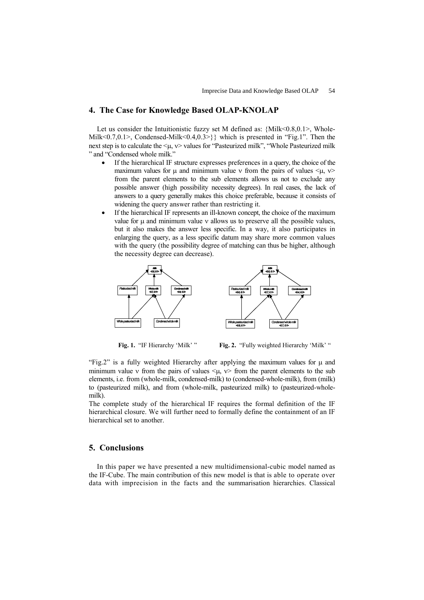### 4. The Case for Knowledge Based OLAP-KNOLAP

Let us consider the Intuitionistic fuzzy set M defined as:  ${Milk < 0.8, 0.1>$ , Whole-Milk<0.7,0.1>, Condensed-Milk<0.4,0.3>}} which is presented in "Fig.1". Then the next step is to calculate the <µ, ν> values for "Pasteurized milk", "Whole Pasteurized milk " and "Condensed whole milk."

- If the hierarchical IF structure expresses preferences in a query, the choice of the maximum values for  $\mu$  and minimum value v from the pairs of values  $\langle \mu, v \rangle$ from the parent elements to the sub elements allows us not to exclude any possible answer (high possibility necessity degrees). In real cases, the lack of answers to a query generally makes this choice preferable, because it consists of widening the query answer rather than restricting it.
- If the hierarchical IF represents an ill-known concept, the choice of the maximum value for  $\mu$  and minimum value  $\nu$  allows us to preserve all the possible values, but it also makes the answer less specific. In a way, it also participates in enlarging the query, as a less specific datum may share more common values with the query (the possibility degree of matching can thus be higher, although the necessity degree can decrease).



Fig. 1. "IF Hierarchy 'Milk' " Fig. 2. "Fully weighted Hierarchy 'Milk' "

"Fig.2" is a fully weighted Hierarchy after applying the maximum values for  $\mu$  and minimum value v from the pairs of values  $\lt\mu$ ,  $v$  from the parent elements to the sub elements, i.e. from (whole-milk, condensed-milk) to (condensed-whole-milk), from (milk) to (pasteurized milk), and from (whole-milk, pasteurized milk) to (pasteurized-wholemilk).

The complete study of the hierarchical IF requires the formal definition of the IF hierarchical closure. We will further need to formally define the containment of an IF hierarchical set to another.

## 5. Conclusions

In this paper we have presented a new multidimensional-cubic model named as the IF-Cube. The main contribution of this new model is that is able to operate over data with imprecision in the facts and the summarisation hierarchies. Classical